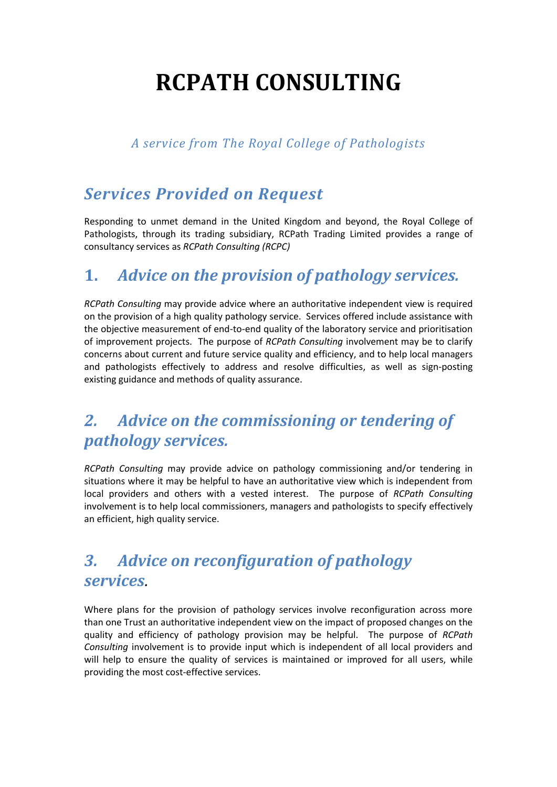# **RCPATH CONSULTING**

#### *A service from The Royal College of Pathologists*

## *Services Provided on Request*

Responding to unmet demand in the United Kingdom and beyond, the Royal College of Pathologists, through its trading subsidiary, RCPath Trading Limited provides a range of consultancy services as *RCPath Consulting (RCPC)*

## **1.** *Advice on the provision of pathology services.*

*RCPath Consulting* may provide advice where an authoritative independent view is required on the provision of a high quality pathology service. Services offered include assistance with the objective measurement of end-to-end quality of the laboratory service and prioritisation of improvement projects. The purpose of *RCPath Consulting* involvement may be to clarify concerns about current and future service quality and efficiency, and to help local managers and pathologists effectively to address and resolve difficulties, as well as sign-posting existing guidance and methods of quality assurance.

## *2. Advice on the commissioning or tendering of pathology services.*

*RCPath Consulting* may provide advice on pathology commissioning and/or tendering in situations where it may be helpful to have an authoritative view which is independent from local providers and others with a vested interest. The purpose of *RCPath Consulting* involvement is to help local commissioners, managers and pathologists to specify effectively an efficient, high quality service.

## *3. Advice on reconfiguration of pathology services.*

Where plans for the provision of pathology services involve reconfiguration across more than one Trust an authoritative independent view on the impact of proposed changes on the quality and efficiency of pathology provision may be helpful. The purpose of *RCPath Consulting* involvement is to provide input which is independent of all local providers and will help to ensure the quality of services is maintained or improved for all users, while providing the most cost-effective services.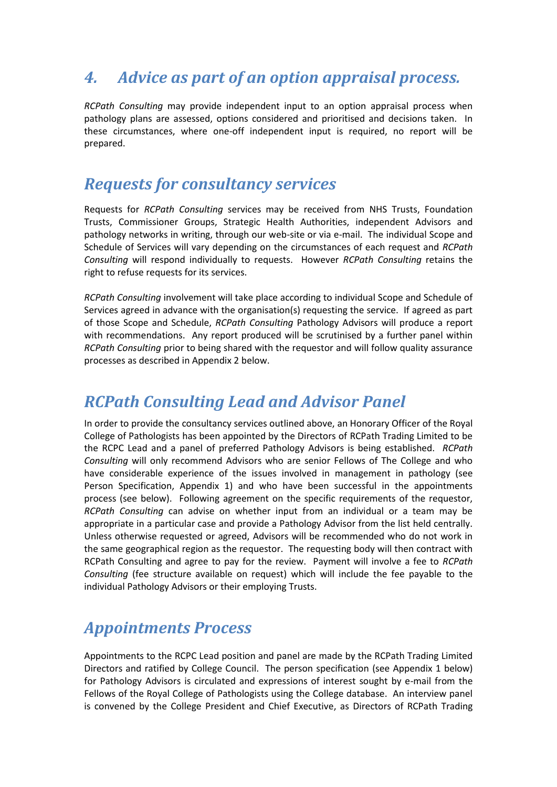## *4. Advice as part of an option appraisal process.*

*RCPath Consulting* may provide independent input to an option appraisal process when pathology plans are assessed, options considered and prioritised and decisions taken. In these circumstances, where one-off independent input is required, no report will be prepared.

#### *Requests for consultancy services*

Requests for *RCPath Consulting* services may be received from NHS Trusts, Foundation Trusts, Commissioner Groups, Strategic Health Authorities, independent Advisors and pathology networks in writing, through our web-site or via e-mail. The individual Scope and Schedule of Services will vary depending on the circumstances of each request and *RCPath Consulting* will respond individually to requests. However *RCPath Consulting* retains the right to refuse requests for its services.

*RCPath Consulting* involvement will take place according to individual Scope and Schedule of Services agreed in advance with the organisation(s) requesting the service. If agreed as part of those Scope and Schedule, *RCPath Consulting* Pathology Advisors will produce a report with recommendations. Any report produced will be scrutinised by a further panel within *RCPath Consulting* prior to being shared with the requestor and will follow quality assurance processes as described in Appendix 2 below.

## *RCPath Consulting Lead and Advisor Panel*

In order to provide the consultancy services outlined above, an Honorary Officer of the Royal College of Pathologists has been appointed by the Directors of RCPath Trading Limited to be the RCPC Lead and a panel of preferred Pathology Advisors is being established. *RCPath Consulting* will only recommend Advisors who are senior Fellows of The College and who have considerable experience of the issues involved in management in pathology (see Person Specification, Appendix 1) and who have been successful in the appointments process (see below). Following agreement on the specific requirements of the requestor, *RCPath Consulting* can advise on whether input from an individual or a team may be appropriate in a particular case and provide a Pathology Advisor from the list held centrally. Unless otherwise requested or agreed, Advisors will be recommended who do not work in the same geographical region as the requestor. The requesting body will then contract with RCPath Consulting and agree to pay for the review. Payment will involve a fee to *RCPath Consulting* (fee structure available on request) which will include the fee payable to the individual Pathology Advisors or their employing Trusts.

## *Appointments Process*

Appointments to the RCPC Lead position and panel are made by the RCPath Trading Limited Directors and ratified by College Council. The person specification (see Appendix 1 below) for Pathology Advisors is circulated and expressions of interest sought by e-mail from the Fellows of the Royal College of Pathologists using the College database. An interview panel is convened by the College President and Chief Executive, as Directors of RCPath Trading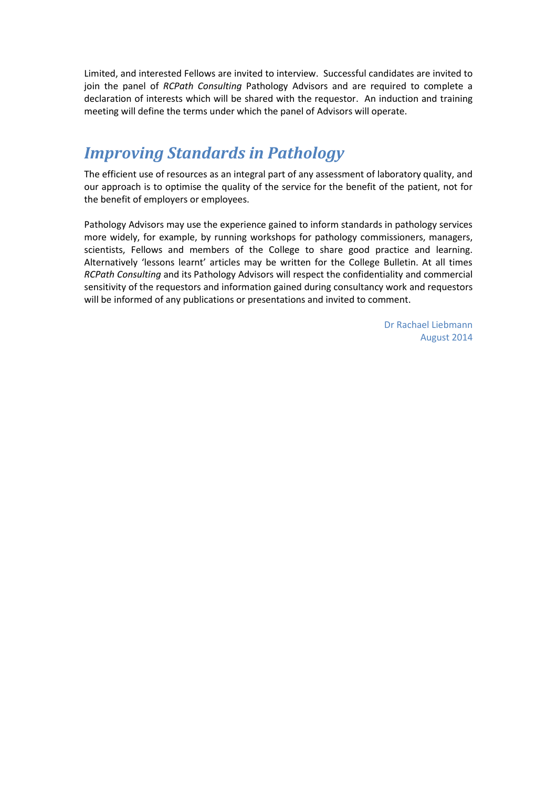Limited, and interested Fellows are invited to interview. Successful candidates are invited to join the panel of *RCPath Consulting* Pathology Advisors and are required to complete a declaration of interests which will be shared with the requestor. An induction and training meeting will define the terms under which the panel of Advisors will operate.

## *Improving Standards in Pathology*

The efficient use of resources as an integral part of any assessment of laboratory quality, and our approach is to optimise the quality of the service for the benefit of the patient, not for the benefit of employers or employees.

Pathology Advisors may use the experience gained to inform standards in pathology services more widely, for example, by running workshops for pathology commissioners, managers, scientists, Fellows and members of the College to share good practice and learning. Alternatively 'lessons learnt' articles may be written for the College Bulletin. At all times *RCPath Consulting* and its Pathology Advisors will respect the confidentiality and commercial sensitivity of the requestors and information gained during consultancy work and requestors will be informed of any publications or presentations and invited to comment.

> Dr Rachael Liebmann August 2014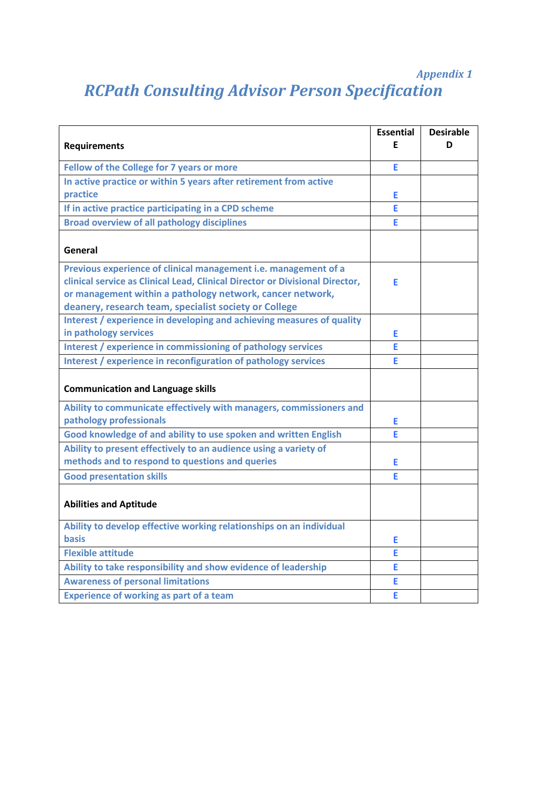#### *Appendix 1*

## *RCPath Consulting Advisor Person Specification*

| <b>Requirements</b>                                                                                                                                                                                                                                                   | <b>Essential</b><br>F | <b>Desirable</b><br>D |
|-----------------------------------------------------------------------------------------------------------------------------------------------------------------------------------------------------------------------------------------------------------------------|-----------------------|-----------------------|
|                                                                                                                                                                                                                                                                       |                       |                       |
| Fellow of the College for 7 years or more                                                                                                                                                                                                                             | Ė                     |                       |
| In active practice or within 5 years after retirement from active                                                                                                                                                                                                     |                       |                       |
| practice                                                                                                                                                                                                                                                              | Е                     |                       |
| If in active practice participating in a CPD scheme                                                                                                                                                                                                                   | Е                     |                       |
| <b>Broad overview of all pathology disciplines</b>                                                                                                                                                                                                                    | E                     |                       |
| General                                                                                                                                                                                                                                                               |                       |                       |
| Previous experience of clinical management i.e. management of a<br>clinical service as Clinical Lead, Clinical Director or Divisional Director,<br>or management within a pathology network, cancer network,<br>deanery, research team, specialist society or College | Е                     |                       |
| Interest / experience in developing and achieving measures of quality                                                                                                                                                                                                 |                       |                       |
| in pathology services                                                                                                                                                                                                                                                 | Е                     |                       |
| Interest / experience in commissioning of pathology services                                                                                                                                                                                                          | E                     |                       |
| Interest / experience in reconfiguration of pathology services                                                                                                                                                                                                        | Е                     |                       |
| <b>Communication and Language skills</b>                                                                                                                                                                                                                              |                       |                       |
| Ability to communicate effectively with managers, commissioners and<br>pathology professionals                                                                                                                                                                        | E                     |                       |
| Good knowledge of and ability to use spoken and written English                                                                                                                                                                                                       | F                     |                       |
| Ability to present effectively to an audience using a variety of                                                                                                                                                                                                      |                       |                       |
| methods and to respond to questions and queries                                                                                                                                                                                                                       | Е                     |                       |
| <b>Good presentation skills</b>                                                                                                                                                                                                                                       | E                     |                       |
| <b>Abilities and Aptitude</b>                                                                                                                                                                                                                                         |                       |                       |
| Ability to develop effective working relationships on an individual                                                                                                                                                                                                   |                       |                       |
| <b>basis</b>                                                                                                                                                                                                                                                          | Е                     |                       |
| <b>Flexible attitude</b>                                                                                                                                                                                                                                              | Е                     |                       |
| Ability to take responsibility and show evidence of leadership                                                                                                                                                                                                        | F                     |                       |
| <b>Awareness of personal limitations</b>                                                                                                                                                                                                                              | E                     |                       |
| <b>Experience of working as part of a team</b>                                                                                                                                                                                                                        | Е                     |                       |